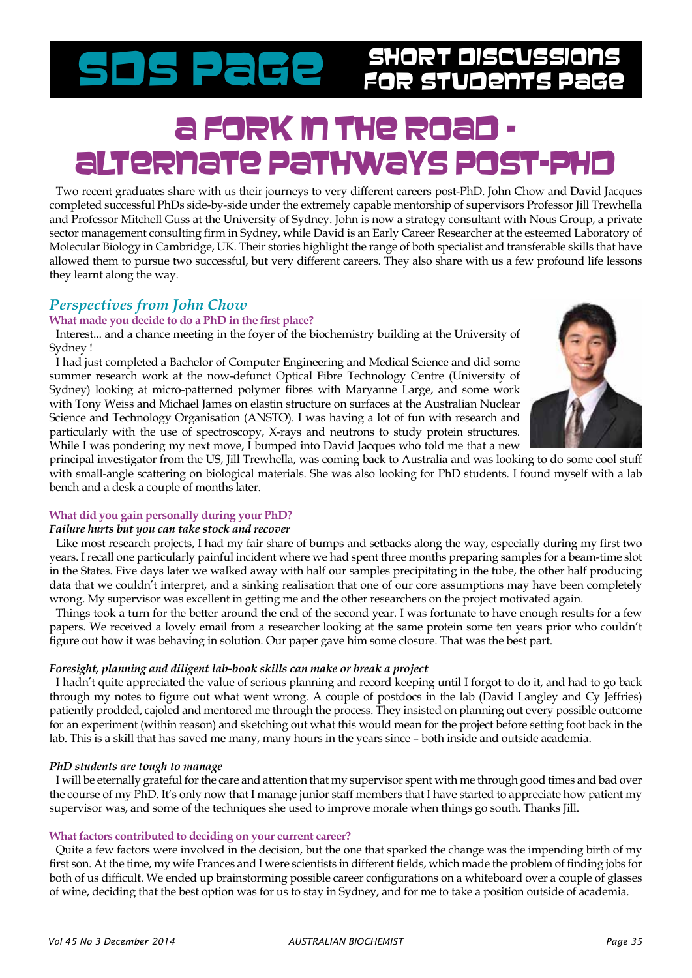# Short Discussions SDS Page for Students Page

# a FORK In the Road Alternate pathways post-PhD

Two recent graduates share with us their journeys to very different careers post-PhD. John Chow and David Jacques completed successful PhDs side-by-side under the extremely capable mentorship of supervisors Professor Jill Trewhella and Professor Mitchell Guss at the University of Sydney. John is now a strategy consultant with Nous Group, a private sector management consulting firm in Sydney, while David is an Early Career Researcher at the esteemed Laboratory of Molecular Biology in Cambridge, UK. Their stories highlight the range of both specialist and transferable skills that have allowed them to pursue two successful, but very different careers. They also share with us a few profound life lessons they learnt along the way.

# *Perspectives from John Chow*

# **What made you decide to do a PhD in the first place?**

Interest... and a chance meeting in the foyer of the biochemistry building at the University of Sydney !

I had just completed a Bachelor of Computer Engineering and Medical Science and did some summer research work at the now-defunct Optical Fibre Technology Centre (University of Sydney) looking at micro-patterned polymer fibres with Maryanne Large, and some work with Tony Weiss and Michael James on elastin structure on surfaces at the Australian Nuclear Science and Technology Organisation (ANSTO). I was having a lot of fun with research and particularly with the use of spectroscopy, X-rays and neutrons to study protein structures. While I was pondering my next move, I bumped into David Jacques who told me that a new



principal investigator from the US, Jill Trewhella, was coming back to Australia and was looking to do some cool stuff with small-angle scattering on biological materials. She was also looking for PhD students. I found myself with a lab bench and a desk a couple of months later.

# **What did you gain personally during your PhD?**

# *Failure hurts but you can take stock and recover*

Like most research projects, I had my fair share of bumps and setbacks along the way, especially during my first two years. I recall one particularly painful incident where we had spent three months preparing samples for a beam-time slot in the States. Five days later we walked away with half our samples precipitating in the tube, the other half producing data that we couldn't interpret, and a sinking realisation that one of our core assumptions may have been completely wrong. My supervisor was excellent in getting me and the other researchers on the project motivated again.

Things took a turn for the better around the end of the second year. I was fortunate to have enough results for a few papers. We received a lovely email from a researcher looking at the same protein some ten years prior who couldn't figure out how it was behaving in solution. Our paper gave him some closure. That was the best part.

# *Foresight, planning and diligent lab-book skills can make or break a project*

I hadn't quite appreciated the value of serious planning and record keeping until I forgot to do it, and had to go back through my notes to figure out what went wrong. A couple of postdocs in the lab (David Langley and Cy Jeffries) patiently prodded, cajoled and mentored me through the process. They insisted on planning out every possible outcome for an experiment (within reason) and sketching out what this would mean for the project before setting foot back in the lab. This is a skill that has saved me many, many hours in the years since – both inside and outside academia.

# *PhD students are tough to manage*

I will be eternally grateful for the care and attention that my supervisor spent with me through good times and bad over the course of my PhD. It's only now that I manage junior staff members that I have started to appreciate how patient my supervisor was, and some of the techniques she used to improve morale when things go south. Thanks Jill.

# **What factors contributed to deciding on your current career?**

Quite a few factors were involved in the decision, but the one that sparked the change was the impending birth of my first son. At the time, my wife Frances and I were scientists in different fields, which made the problem of finding jobs for both of us difficult. We ended up brainstorming possible career configurations on a whiteboard over a couple of glasses of wine, deciding that the best option was for us to stay in Sydney, and for me to take a position outside of academia.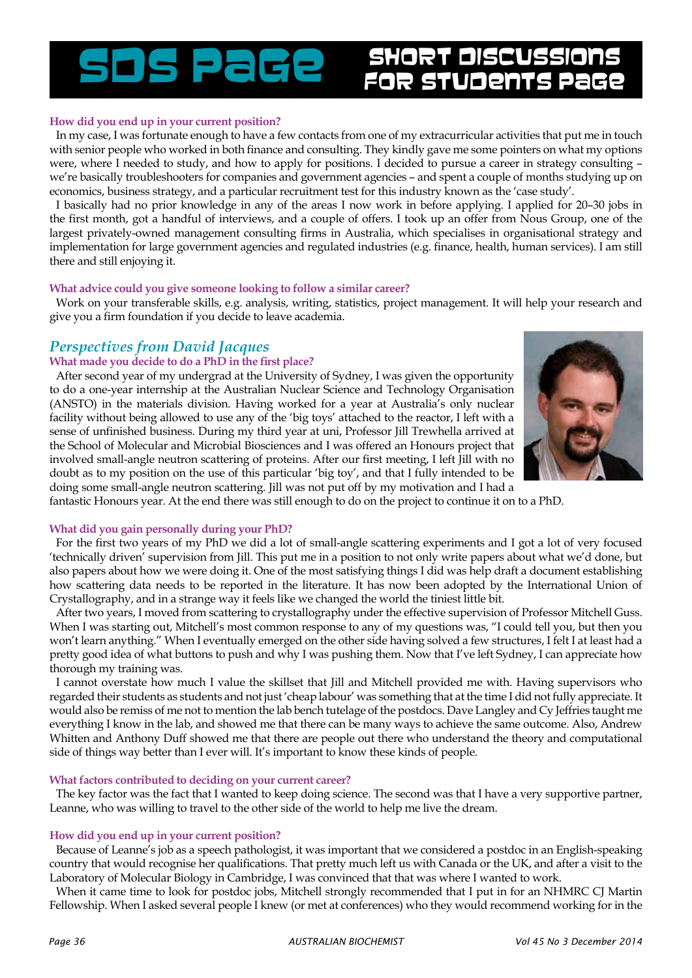#### **How did you end up in your current position?**

In my case, I was fortunate enough to have a few contacts from one of my extracurricular activities that put me in touch with senior people who worked in both finance and consulting. They kindly gave me some pointers on what my options were, where I needed to study, and how to apply for positions. I decided to pursue a career in strategy consulting – we're basically troubleshooters for companies and government agencies – and spent a couple of months studying up on economics, business strategy, and a particular recruitment test for this industry known as the 'case study'.

I basically had no prior knowledge in any of the areas I now work in before applying. I applied for 20–30 jobs in the first month, got a handful of interviews, and a couple of offers. I took up an offer from Nous Group, one of the largest privately-owned management consulting firms in Australia, which specialises in organisational strategy and implementation for large government agencies and regulated industries (e.g. finance, health, human services). I am still there and still enjoying it.

#### **What advice could you give someone looking to follow a similar career?**

Work on your transferable skills, e.g. analysis, writing, statistics, project management. It will help your research and give you a firm foundation if you decide to leave academia.

# *Perspectives from David Jacques*

#### **What made you decide to do a PhD in the first place?**

After second year of my undergrad at the University of Sydney, I was given the opportunity to do a one-year internship at the Australian Nuclear Science and Technology Organisation (ANSTO) in the materials division. Having worked for a year at Australia's only nuclear facility without being allowed to use any of the 'big toys' attached to the reactor, I left with a sense of unfinished business. During my third year at uni, Professor Jill Trewhella arrived at the School of Molecular and Microbial Biosciences and I was offered an Honours project that involved small-angle neutron scattering of proteins. After our first meeting, I left Jill with no doubt as to my position on the use of this particular 'big toy', and that I fully intended to be doing some small-angle neutron scattering. Jill was not put off by my motivation and I had a



fantastic Honours year. At the end there was still enough to do on the project to continue it on to a PhD.

#### **What did you gain personally during your PhD?**

For the first two years of my PhD we did a lot of small-angle scattering experiments and I got a lot of very focused 'technically driven' supervision from Jill. This put me in a position to not only write papers about what we'd done, but also papers about how we were doing it. One of the most satisfying things I did was help draft a document establishing how scattering data needs to be reported in the literature. It has now been adopted by the International Union of Crystallography, and in a strange way it feels like we changed the world the tiniest little bit.

After two years, I moved from scattering to crystallography under the effective supervision of Professor Mitchell Guss. When I was starting out, Mitchell's most common response to any of my questions was, "I could tell you, but then you won't learn anything." When I eventually emerged on the other side having solved a few structures, I felt I at least had a pretty good idea of what buttons to push and why I was pushing them. Now that I've left Sydney, I can appreciate how thorough my training was.

I cannot overstate how much I value the skillset that Jill and Mitchell provided me with. Having supervisors who regarded their students as students and not just 'cheap labour' was something that at the time I did not fully appreciate. It would also be remiss of me not to mention the lab bench tutelage of the postdocs. Dave Langley and Cy Jeffries taught me everything I know in the lab, and showed me that there can be many ways to achieve the same outcome. Also, Andrew Whitten and Anthony Duff showed me that there are people out there who understand the theory and computational side of things way better than I ever will. It's important to know these kinds of people.

#### **What factors contributed to deciding on your current career?**

The key factor was the fact that I wanted to keep doing science. The second was that I have a very supportive partner, Leanne, who was willing to travel to the other side of the world to help me live the dream.

#### **How did you end up in your current position?**

Because of Leanne's job as a speech pathologist, it was important that we considered a postdoc in an English-speaking country that would recognise her qualifications. That pretty much left us with Canada or the UK, and after a visit to the Laboratory of Molecular Biology in Cambridge, I was convinced that that was where I wanted to work.

When it came time to look for postdoc jobs, Mitchell strongly recommended that I put in for an NHMRC CJ Martin Fellowship. When I asked several people I knew (or met at conferences) who they would recommend working for in the